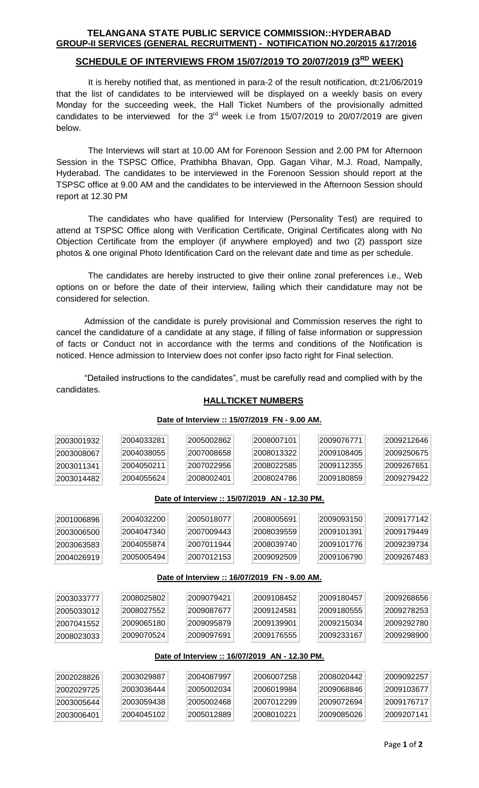#### **TELANGANA STATE PUBLIC SERVICE COMMISSION::HYDERABAD GROUP-II SERVICES (GENERAL RECRUITMENT) - NOTIFICATION NO.20/2015 &17/2016**

## **SCHEDULE OF INTERVIEWS FROM 15/07/2019 TO 20/07/2019 (3RD WEEK)**

It is hereby notified that, as mentioned in para-2 of the result notification, dt:21/06/2019 that the list of candidates to be interviewed will be displayed on a weekly basis on every Monday for the succeeding week, the Hall Ticket Numbers of the provisionally admitted candidates to be interviewed for the  $3<sup>rd</sup>$  week i.e from 15/07/2019 to 20/07/2019 are given below.

The Interviews will start at 10.00 AM for Forenoon Session and 2.00 PM for Afternoon Session in the TSPSC Office, Prathibha Bhavan, Opp. Gagan Vihar, M.J. Road, Nampally, Hyderabad. The candidates to be interviewed in the Forenoon Session should report at the TSPSC office at 9.00 AM and the candidates to be interviewed in the Afternoon Session should report at 12.30 PM

The candidates who have qualified for Interview (Personality Test) are required to attend at TSPSC Office along with Verification Certificate, Original Certificates along with No Objection Certificate from the employer (if anywhere employed) and two (2) passport size photos & one original Photo Identification Card on the relevant date and time as per schedule.

The candidates are hereby instructed to give their online zonal preferences i.e., Web options on or before the date of their interview, failing which their candidature may not be considered for selection.

Admission of the candidate is purely provisional and Commission reserves the right to cancel the candidature of a candidate at any stage, if filling of false information or suppression of facts or Conduct not in accordance with the terms and conditions of the Notification is noticed. Hence admission to Interview does not confer ipso facto right for Final selection.

"Detailed instructions to the candidates", must be carefully read and complied with by the candidates.

**Date of Interview :: 15/07/2019 FN - 9.00 AM.**

#### **HALLTICKET NUMBERS**

| 2003001932                                     | 2004033281 | 2005002862 | 2008007101                                     | 2009076771 | 2009212646 |  |  |  |  |
|------------------------------------------------|------------|------------|------------------------------------------------|------------|------------|--|--|--|--|
| 2003008067                                     | 2004038055 | 2007008658 | 2008013322                                     | 2009108405 | 2009250675 |  |  |  |  |
| 2003011341                                     | 2004050211 | 2007022956 | 2008022585                                     | 2009112355 | 2009267651 |  |  |  |  |
| 2003014482                                     | 2004055624 | 2008002401 | 2008024786                                     | 2009180859 | 2009279422 |  |  |  |  |
|                                                |            |            |                                                |            |            |  |  |  |  |
| Date of Interview :: 15/07/2019 AN - 12.30 PM. |            |            |                                                |            |            |  |  |  |  |
| 2001006896                                     | 2004032200 | 2005018077 | 2008005691                                     | 2009093150 | 2009177142 |  |  |  |  |
| 2003006500                                     | 2004047340 | 2007009443 | 2008039559                                     | 2009101391 | 2009179449 |  |  |  |  |
| 2003063583                                     | 2004055874 | 2007011944 | 2008039740                                     | 2009101776 | 2009239734 |  |  |  |  |
| 2004026919                                     | 2005005494 | 2007012153 | 2009092509                                     | 2009106790 | 2009267483 |  |  |  |  |
|                                                |            |            |                                                |            |            |  |  |  |  |
| Date of Interview :: 16/07/2019 FN - 9.00 AM.  |            |            |                                                |            |            |  |  |  |  |
| 2003033777                                     | 2008025802 | 2009079421 | 2009108452                                     | 2009180457 | 2009268656 |  |  |  |  |
| 2005033012                                     | 2008027552 | 2009087677 | 2009124581                                     | 2009180555 | 2009278253 |  |  |  |  |
| 2007041552                                     | 2009065180 | 2009095879 | 2009139901                                     | 2009215034 | 2009292780 |  |  |  |  |
| 2008023033                                     | 2009070524 | 2009097691 | 2009176555                                     | 2009233167 | 2009298900 |  |  |  |  |
|                                                |            |            |                                                |            |            |  |  |  |  |
|                                                |            |            | Date of Interview :: 16/07/2019 AN - 12.30 PM. |            |            |  |  |  |  |
| 2002028826                                     | 2003029887 | 2004087997 | 2006007258                                     | 2008020442 | 2009092257 |  |  |  |  |
| 2002029725                                     | 2003036444 | 2005002034 | 2006019984                                     | 2009068846 | 2009103677 |  |  |  |  |
| 2003005644                                     | 2003059438 | 2005002468 | 2007012299                                     | 2009072694 | 2009176717 |  |  |  |  |
| 2003006401                                     | 2004045102 | 2005012889 | 2008010221                                     | 2009085026 | 2009207141 |  |  |  |  |

Page **1** of **2**